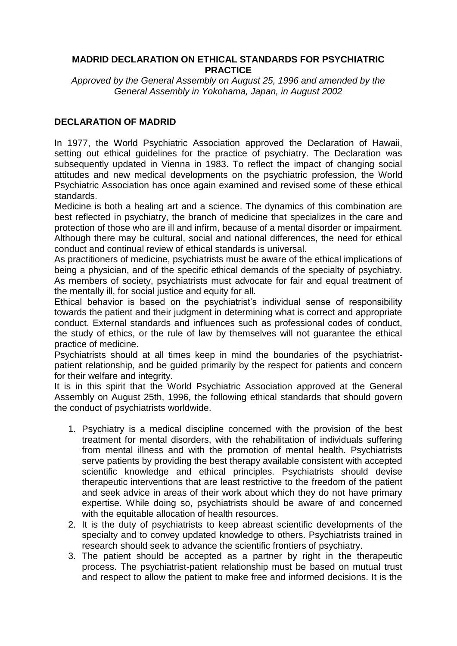### **MADRID DECLARATION ON ETHICAL STANDARDS FOR PSYCHIATRIC PRACTICE**

*Approved by the General Assembly on August 25, 1996 and amended by the General Assembly in Yokohama, Japan, in August 2002*

# **DECLARATION OF MADRID**

In 1977, the World Psychiatric Association approved the Declaration of Hawaii, setting out ethical guidelines for the practice of psychiatry. The Declaration was subsequently updated in Vienna in 1983. To reflect the impact of changing social attitudes and new medical developments on the psychiatric profession, the World Psychiatric Association has once again examined and revised some of these ethical standards.

Medicine is both a healing art and a science. The dynamics of this combination are best reflected in psychiatry, the branch of medicine that specializes in the care and protection of those who are ill and infirm, because of a mental disorder or impairment. Although there may be cultural, social and national differences, the need for ethical conduct and continual review of ethical standards is universal.

As practitioners of medicine, psychiatrists must be aware of the ethical implications of being a physician, and of the specific ethical demands of the specialty of psychiatry. As members of society, psychiatrists must advocate for fair and equal treatment of the mentally ill, for social justice and equity for all.

Ethical behavior is based on the psychiatrist's individual sense of responsibility towards the patient and their judgment in determining what is correct and appropriate conduct. External standards and influences such as professional codes of conduct, the study of ethics, or the rule of law by themselves will not guarantee the ethical practice of medicine.

Psychiatrists should at all times keep in mind the boundaries of the psychiatristpatient relationship, and be guided primarily by the respect for patients and concern for their welfare and integrity.

It is in this spirit that the World Psychiatric Association approved at the General Assembly on August 25th, 1996, the following ethical standards that should govern the conduct of psychiatrists worldwide.

- 1. Psychiatry is a medical discipline concerned with the provision of the best treatment for mental disorders, with the rehabilitation of individuals suffering from mental illness and with the promotion of mental health. Psychiatrists serve patients by providing the best therapy available consistent with accepted scientific knowledge and ethical principles. Psychiatrists should devise therapeutic interventions that are least restrictive to the freedom of the patient and seek advice in areas of their work about which they do not have primary expertise. While doing so, psychiatrists should be aware of and concerned with the equitable allocation of health resources.
- 2. It is the duty of psychiatrists to keep abreast scientific developments of the specialty and to convey updated knowledge to others. Psychiatrists trained in research should seek to advance the scientific frontiers of psychiatry.
- 3. The patient should be accepted as a partner by right in the therapeutic process. The psychiatrist-patient relationship must be based on mutual trust and respect to allow the patient to make free and informed decisions. It is the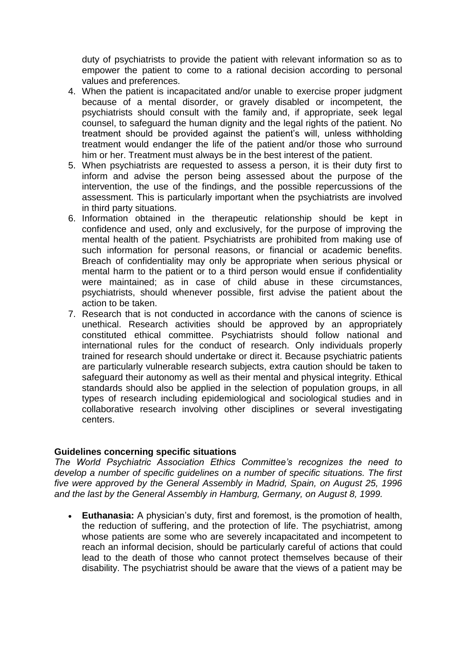duty of psychiatrists to provide the patient with relevant information so as to empower the patient to come to a rational decision according to personal values and preferences.

- 4. When the patient is incapacitated and/or unable to exercise proper judgment because of a mental disorder, or gravely disabled or incompetent, the psychiatrists should consult with the family and, if appropriate, seek legal counsel, to safeguard the human dignity and the legal rights of the patient. No treatment should be provided against the patient's will, unless withholding treatment would endanger the life of the patient and/or those who surround him or her. Treatment must always be in the best interest of the patient.
- 5. When psychiatrists are requested to assess a person, it is their duty first to inform and advise the person being assessed about the purpose of the intervention, the use of the findings, and the possible repercussions of the assessment. This is particularly important when the psychiatrists are involved in third party situations.
- 6. Information obtained in the therapeutic relationship should be kept in confidence and used, only and exclusively, for the purpose of improving the mental health of the patient. Psychiatrists are prohibited from making use of such information for personal reasons, or financial or academic benefits. Breach of confidentiality may only be appropriate when serious physical or mental harm to the patient or to a third person would ensue if confidentiality were maintained; as in case of child abuse in these circumstances, psychiatrists, should whenever possible, first advise the patient about the action to be taken.
- 7. Research that is not conducted in accordance with the canons of science is unethical. Research activities should be approved by an appropriately constituted ethical committee. Psychiatrists should follow national and international rules for the conduct of research. Only individuals properly trained for research should undertake or direct it. Because psychiatric patients are particularly vulnerable research subjects, extra caution should be taken to safeguard their autonomy as well as their mental and physical integrity. Ethical standards should also be applied in the selection of population groups, in all types of research including epidemiological and sociological studies and in collaborative research involving other disciplines or several investigating centers.

#### **Guidelines concerning specific situations**

*The World Psychiatric Association Ethics Committee's recognizes the need to develop a number of specific guidelines on a number of specific situations. The first five were approved by the General Assembly in Madrid, Spain, on August 25, 1996*  and the last by the General Assembly in Hamburg, Germany, on August 8, 1999.

 **Euthanasia:** A physician's duty, first and foremost, is the promotion of health, the reduction of suffering, and the protection of life. The psychiatrist, among whose patients are some who are severely incapacitated and incompetent to reach an informal decision, should be particularly careful of actions that could lead to the death of those who cannot protect themselves because of their disability. The psychiatrist should be aware that the views of a patient may be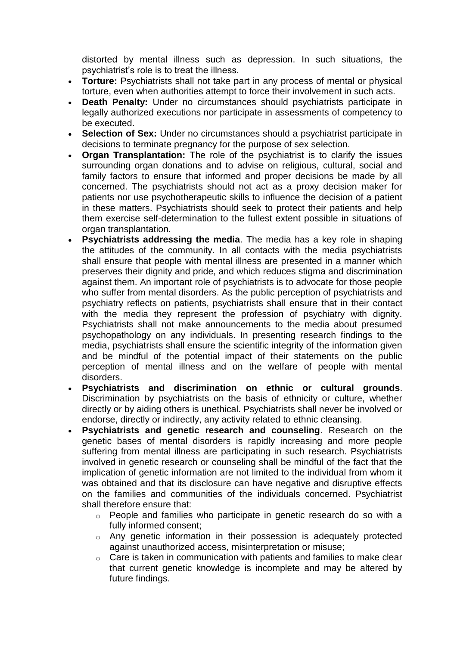distorted by mental illness such as depression. In such situations, the psychiatrist's role is to treat the illness.

- **Torture:** Psychiatrists shall not take part in any process of mental or physical torture, even when authorities attempt to force their involvement in such acts.
- **Death Penalty:** Under no circumstances should psychiatrists participate in legally authorized executions nor participate in assessments of competency to be executed.
- **Selection of Sex:** Under no circumstances should a psychiatrist participate in decisions to terminate pregnancy for the purpose of sex selection.
- **Organ Transplantation:** The role of the psychiatrist is to clarify the issues surrounding organ donations and to advise on religious, cultural, social and family factors to ensure that informed and proper decisions be made by all concerned. The psychiatrists should not act as a proxy decision maker for patients nor use psychotherapeutic skills to influence the decision of a patient in these matters. Psychiatrists should seek to protect their patients and help them exercise self-determination to the fullest extent possible in situations of organ transplantation.
- **Psychiatrists addressing the media**. The media has a key role in shaping the attitudes of the community. In all contacts with the media psychiatrists shall ensure that people with mental illness are presented in a manner which preserves their dignity and pride, and which reduces stigma and discrimination against them. An important role of psychiatrists is to advocate for those people who suffer from mental disorders. As the public perception of psychiatrists and psychiatry reflects on patients, psychiatrists shall ensure that in their contact with the media they represent the profession of psychiatry with dignity. Psychiatrists shall not make announcements to the media about presumed psychopathology on any individuals. In presenting research findings to the media, psychiatrists shall ensure the scientific integrity of the information given and be mindful of the potential impact of their statements on the public perception of mental illness and on the welfare of people with mental disorders.
- **Psychiatrists and discrimination on ethnic or cultural grounds**. Discrimination by psychiatrists on the basis of ethnicity or culture, whether directly or by aiding others is unethical. Psychiatrists shall never be involved or endorse, directly or indirectly, any activity related to ethnic cleansing.
- **Psychiatrists and genetic research and counseling**. Research on the genetic bases of mental disorders is rapidly increasing and more people suffering from mental illness are participating in such research. Psychiatrists involved in genetic research or counseling shall be mindful of the fact that the implication of genetic information are not limited to the individual from whom it was obtained and that its disclosure can have negative and disruptive effects on the families and communities of the individuals concerned. Psychiatrist shall therefore ensure that:
	- o People and families who participate in genetic research do so with a fully informed consent;
	- o Any genetic information in their possession is adequately protected against unauthorized access, misinterpretation or misuse;
	- $\circ$  Care is taken in communication with patients and families to make clear that current genetic knowledge is incomplete and may be altered by future findings.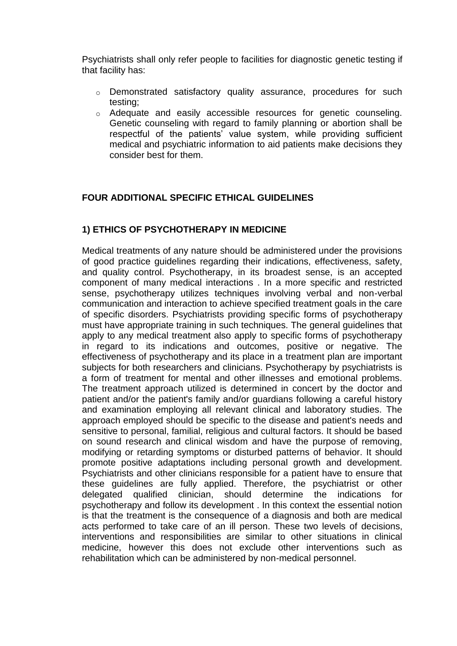Psychiatrists shall only refer people to facilities for diagnostic genetic testing if that facility has:

- Demonstrated satisfactory quality assurance, procedures for such testing;
- o Adequate and easily accessible resources for genetic counseling. Genetic counseling with regard to family planning or abortion shall be respectful of the patients' value system, while providing sufficient medical and psychiatric information to aid patients make decisions they consider best for them.

### **FOUR ADDITIONAL SPECIFIC ETHICAL GUIDELINES**

#### **1) ETHICS OF PSYCHOTHERAPY IN MEDICINE**

Medical treatments of any nature should be administered under the provisions of good practice guidelines regarding their indications, effectiveness, safety, and quality control. Psychotherapy, in its broadest sense, is an accepted component of many medical interactions . In a more specific and restricted sense, psychotherapy utilizes techniques involving verbal and non-verbal communication and interaction to achieve specified treatment goals in the care of specific disorders. Psychiatrists providing specific forms of psychotherapy must have appropriate training in such techniques. The general guidelines that apply to any medical treatment also apply to specific forms of psychotherapy in regard to its indications and outcomes, positive or negative. The effectiveness of psychotherapy and its place in a treatment plan are important subjects for both researchers and clinicians. Psychotherapy by psychiatrists is a form of treatment for mental and other illnesses and emotional problems. The treatment approach utilized is determined in concert by the doctor and patient and/or the patient's family and/or guardians following a careful history and examination employing all relevant clinical and laboratory studies. The approach employed should be specific to the disease and patient's needs and sensitive to personal, familial, religious and cultural factors. It should be based on sound research and clinical wisdom and have the purpose of removing, modifying or retarding symptoms or disturbed patterns of behavior. It should promote positive adaptations including personal growth and development. Psychiatrists and other clinicians responsible for a patient have to ensure that these guidelines are fully applied. Therefore, the psychiatrist or other delegated qualified clinician, should determine the indications for psychotherapy and follow its development . In this context the essential notion is that the treatment is the consequence of a diagnosis and both are medical acts performed to take care of an ill person. These two levels of decisions, interventions and responsibilities are similar to other situations in clinical medicine, however this does not exclude other interventions such as rehabilitation which can be administered by non-medical personnel.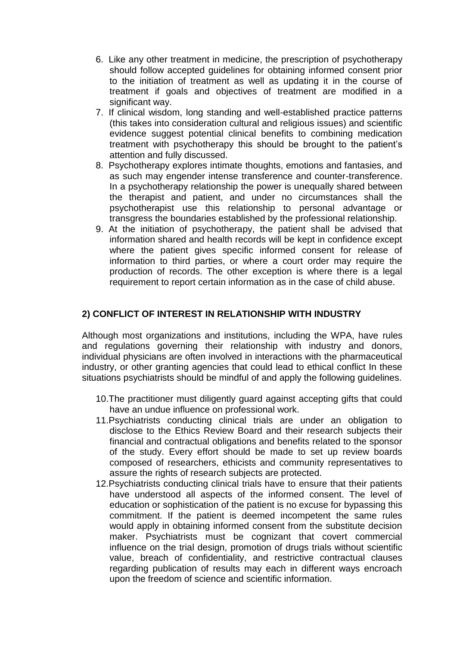- 6. Like any other treatment in medicine, the prescription of psychotherapy should follow accepted guidelines for obtaining informed consent prior to the initiation of treatment as well as updating it in the course of treatment if goals and objectives of treatment are modified in a significant way.
- 7. If clinical wisdom, long standing and well-established practice patterns (this takes into consideration cultural and religious issues) and scientific evidence suggest potential clinical benefits to combining medication treatment with psychotherapy this should be brought to the patient's attention and fully discussed.
- 8. Psychotherapy explores intimate thoughts, emotions and fantasies, and as such may engender intense transference and counter-transference. In a psychotherapy relationship the power is unequally shared between the therapist and patient, and under no circumstances shall the psychotherapist use this relationship to personal advantage or transgress the boundaries established by the professional relationship.
- 9. At the initiation of psychotherapy, the patient shall be advised that information shared and health records will be kept in confidence except where the patient gives specific informed consent for release of information to third parties, or where a court order may require the production of records. The other exception is where there is a legal requirement to report certain information as in the case of child abuse.

# **2) CONFLICT OF INTEREST IN RELATIONSHIP WITH INDUSTRY**

Although most organizations and institutions, including the WPA, have rules and regulations governing their relationship with industry and donors, individual physicians are often involved in interactions with the pharmaceutical industry, or other granting agencies that could lead to ethical conflict In these situations psychiatrists should be mindful of and apply the following guidelines.

- 10.The practitioner must diligently guard against accepting gifts that could have an undue influence on professional work.
- 11.Psychiatrists conducting clinical trials are under an obligation to disclose to the Ethics Review Board and their research subjects their financial and contractual obligations and benefits related to the sponsor of the study. Every effort should be made to set up review boards composed of researchers, ethicists and community representatives to assure the rights of research subjects are protected.
- 12.Psychiatrists conducting clinical trials have to ensure that their patients have understood all aspects of the informed consent. The level of education or sophistication of the patient is no excuse for bypassing this commitment. If the patient is deemed incompetent the same rules would apply in obtaining informed consent from the substitute decision maker. Psychiatrists must be cognizant that covert commercial influence on the trial design, promotion of drugs trials without scientific value, breach of confidentiality, and restrictive contractual clauses regarding publication of results may each in different ways encroach upon the freedom of science and scientific information.